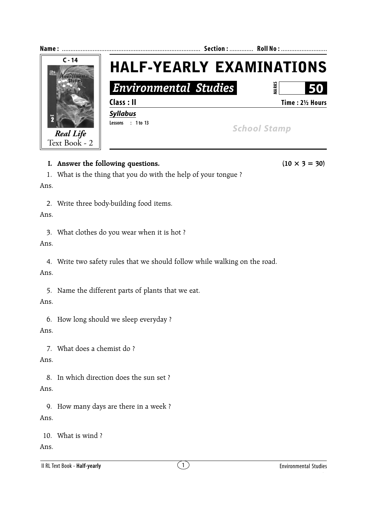

## **1.** Answer the following questions. (10  $\times$  3 = 30)

1. What is the thing that you do with the help of your tongue ? Ans.

2. Write three body-building food items.

Ans.

3. What clothes do you wear when it is hot ?

Ans.

4. Write two safety rules that we should follow while walking on the road.

Ans.

5. Name the different parts of plants that we eat.

## Ans.

6. How long should we sleep everyday ?

## Ans.

7. What does a chemist do ?

## Ans.

8. In which direction does the sun set ? Ans.

9. How many days are there in a week ? Ans.

10. What is wind ? Ans.

II RL Text Book - **Half-yearly** 1 Environmental Studies